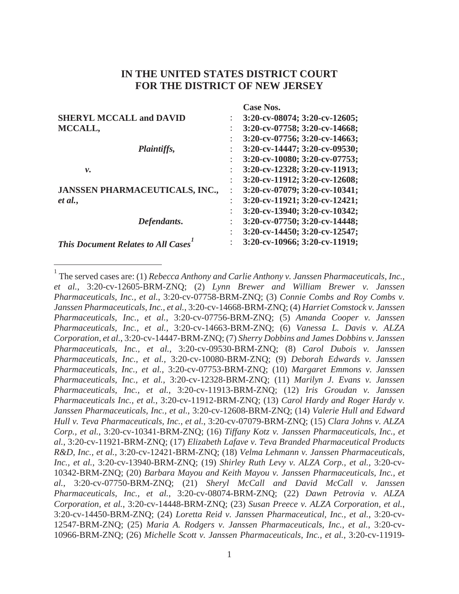# **IN THE UNITED STATES DISTRICT COURT FOR THE DISTRICT OF NEW JERSEY**

|                                           | <b>Case Nos.</b>                    |
|-------------------------------------------|-------------------------------------|
| <b>SHERYL MCCALL and DAVID</b>            | $3:20$ -cv-08074; $3:20$ -cv-12605; |
| MCCALL,                                   | 3:20-cv-07758; 3:20-cv-14668;       |
|                                           | 3:20-cv-07756; 3:20-cv-14663;       |
| Plaintiffs,                               | 3:20-cv-14447; 3:20-cv-09530;       |
|                                           | 3:20-cv-10080; 3:20-cv-07753;       |
| ν.                                        | 3:20-cv-12328; 3:20-cv-11913;       |
|                                           | 3:20-cv-11912; 3:20-cv-12608;       |
| <b>JANSSEN PHARMACEUTICALS, INC.,</b>     | 3:20-cv-07079; 3:20-cv-10341;       |
| et al.,                                   | 3:20-cv-11921; 3:20-cv-12421;       |
|                                           | 3:20-cv-13940; 3:20-cv-10342;       |
| Defendants.                               | 3:20-cv-07750; 3:20-cv-14448;       |
|                                           | 3:20-cv-14450; 3:20-cv-12547;       |
| <b>This Document Relates to All Cases</b> | 3:20-cv-10966; 3:20-cv-11919;       |

<sup>&</sup>lt;sup>1</sup> The served cases are: (1) *Rebecca Anthony and Carlie Anthony v. Janssen Pharmaceuticals, Inc., et al.*, 3:20-cv-12605-BRM-ZNQ; (2) *Lynn Brewer and William Brewer v. Janssen Pharmaceuticals, Inc., et al.*, 3:20-cv-07758-BRM-ZNQ; (3) *Connie Combs and Roy Combs v. Janssen Pharmaceuticals, Inc., et al.*, 3:20-cv-14668-BRM-ZNQ; (4) *Harriet Comstock v. Janssen Pharmaceuticals, Inc., et al.*, 3:20-cv-07756-BRM-ZNQ; (5) *Amanda Cooper v. Janssen Pharmaceuticals, Inc., et al.*, 3:20-cv-14663-BRM-ZNQ; (6) *Vanessa L. Davis v. ALZA Corporation, et al.*, 3:20-cv-14447-BRM-ZNQ; (7) *Sherry Dobbins and James Dobbins v. Janssen Pharmaceuticals, Inc., et al.*, 3:20-cv-09530-BRM-ZNQ; (8) *Carol Dubois v. Janssen Pharmaceuticals, Inc., et al.,* 3:20-cv-10080-BRM-ZNQ; (9) *Deborah Edwards v. Janssen Pharmaceuticals, Inc., et al.*, 3:20-cv-07753-BRM-ZNQ; (10) *Margaret Emmons v. Janssen Pharmaceuticals, Inc., et al.*, 3:20-cv-12328-BRM-ZNQ; (11) *Marilyn J. Evans v. Janssen Pharmaceuticals, Inc., et al.*, 3:20-cv-11913-BRM-ZNQ; (12) *Iris Groudan v. Janssen Pharmaceuticals Inc., et al.*, 3:20-cv-11912-BRM-ZNQ; (13) *Carol Hardy and Roger Hardy v. Janssen Pharmaceuticals, Inc., et al.*, 3:20-cv-12608-BRM-ZNQ; (14) *Valerie Hull and Edward Hull v. Teva Pharmaceuticals, Inc., et al.*, 3:20-cv-07079-BRM-ZNQ; (15) *Clara Johns v. ALZA Corp., et al.*, 3:20-cv-10341-BRM-ZNQ; (16) *Tiffany Kotz v. Janssen Pharmaceuticals, Inc., et al.*, 3:20-cv-11921-BRM-ZNQ; (17) *Elizabeth Lafave v. Teva Branded Pharmaceutical Products R&D, Inc., et al.*, 3:20-cv-12421-BRM-ZNQ; (18) *Velma Lehmann v. Janssen Pharmaceuticals, Inc., et al.*, 3:20-cv-13940-BRM-ZNQ; (19) *Shirley Ruth Levy v. ALZA Corp., et al.,* 3:20-cv-10342-BRM-ZNQ; (20) *Barbara Mayou and Keith Mayou v. Janssen Pharmaceuticals, Inc., et al.*, 3:20-cv-07750-BRM-ZNQ; (21) *Sheryl McCall and David McCall v. Janssen Pharmaceuticals, Inc., et al.*, 3:20-cv-08074-BRM-ZNQ; (22) *Dawn Petrovia v. ALZA Corporation, et al.*, 3:20-cv-14448-BRM-ZNQ; (23) *Susan Preece v. ALZA Corporation, et al.*, 3:20-cv-14450-BRM-ZNQ; (24) *Loretta Reid v. Janssen Pharmaceutical, Inc., et al.*, 3:20-cv-12547-BRM-ZNQ; (25) *Maria A. Rodgers v. Janssen Pharmaceuticals, Inc., et al.*, 3:20-cv-10966-BRM-ZNQ; (26) *Michelle Scott v. Janssen Pharmaceuticals, Inc., et al.*, 3:20-cv-11919-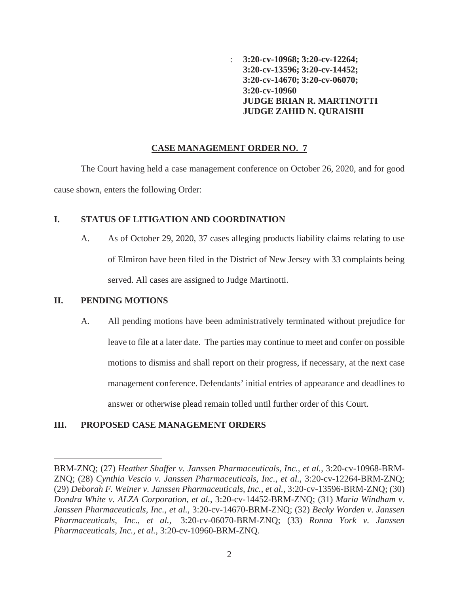: **3:20-cv-10968; 3:20-cv-12264; 3:20-cv-13596; 3:20-cv-14452; 3:20-cv-14670; 3:20-cv-06070; 3:20-cv-10960 JUDGE BRIAN R. MARTINOTTI JUDGE ZAHID N. QURAISHI**

### **CASE MANAGEMENT ORDER NO. 7**

The Court having held a case management conference on October 26, 2020, and for good cause shown, enters the following Order:

## **I. STATUS OF LITIGATION AND COORDINATION**

A. As of October 29, 2020, 37 cases alleging products liability claims relating to use of Elmiron have been filed in the District of New Jersey with 33 complaints being served. All cases are assigned to Judge Martinotti.

## **II. PENDING MOTIONS**

A. All pending motions have been administratively terminated without prejudice for leave to file at a later date. The parties may continue to meet and confer on possible motions to dismiss and shall report on their progress, if necessary, at the next case management conference. Defendants' initial entries of appearance and deadlines to answer or otherwise plead remain tolled until further order of this Court.

# **III. PROPOSED CASE MANAGEMENT ORDERS**

BRM-ZNQ; (27) *Heather Shaffer v. Janssen Pharmaceuticals, Inc., et al.*, 3:20-cv-10968-BRM-ZNQ; (28) *Cynthia Vescio v. Janssen Pharmaceuticals, Inc., et al.*, 3:20-cv-12264-BRM-ZNQ; (29) *Deborah F. Weiner v. Janssen Pharmaceuticals, Inc., et al.*, 3:20-cv-13596-BRM-ZNQ; (30) *Dondra White v. ALZA Corporation, et al.*, 3:20-cv-14452-BRM-ZNQ; (31) *Maria Windham v. Janssen Pharmaceuticals, Inc., et al.*, 3:20-cv-14670-BRM-ZNQ; (32) *Becky Worden v. Janssen Pharmaceuticals, Inc., et al.*, 3:20-cv-06070-BRM-ZNQ; (33) *Ronna York v. Janssen Pharmaceuticals, Inc., et al.*, 3:20-cv-10960-BRM-ZNQ.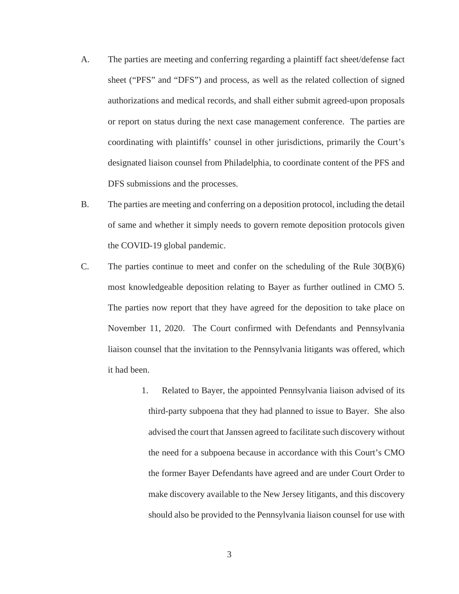- A. The parties are meeting and conferring regarding a plaintiff fact sheet/defense fact sheet ("PFS" and "DFS") and process, as well as the related collection of signed authorizations and medical records, and shall either submit agreed-upon proposals or report on status during the next case management conference. The parties are coordinating with plaintiffs' counsel in other jurisdictions, primarily the Court's designated liaison counsel from Philadelphia, to coordinate content of the PFS and DFS submissions and the processes.
- B. The parties are meeting and conferring on a deposition protocol, including the detail of same and whether it simply needs to govern remote deposition protocols given the COVID-19 global pandemic.
- C. The parties continue to meet and confer on the scheduling of the Rule  $30(B)(6)$ most knowledgeable deposition relating to Bayer as further outlined in CMO 5. The parties now report that they have agreed for the deposition to take place on November 11, 2020. The Court confirmed with Defendants and Pennsylvania liaison counsel that the invitation to the Pennsylvania litigants was offered, which it had been.
	- 1. Related to Bayer, the appointed Pennsylvania liaison advised of its third-party subpoena that they had planned to issue to Bayer. She also advised the court that Janssen agreed to facilitate such discovery without the need for a subpoena because in accordance with this Court's CMO the former Bayer Defendants have agreed and are under Court Order to make discovery available to the New Jersey litigants, and this discovery should also be provided to the Pennsylvania liaison counsel for use with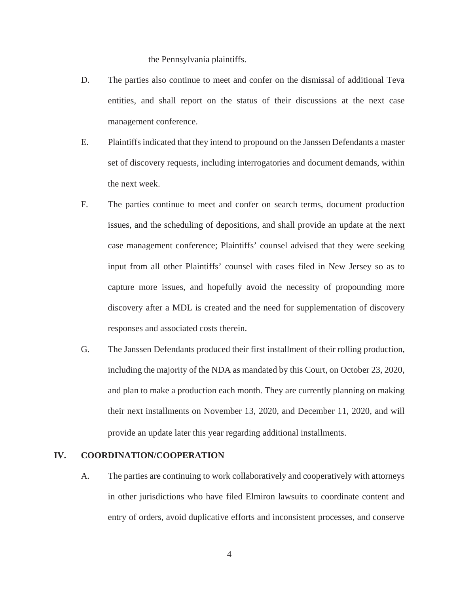the Pennsylvania plaintiffs.

- D. The parties also continue to meet and confer on the dismissal of additional Teva entities, and shall report on the status of their discussions at the next case management conference.
- E. Plaintiffs indicated that they intend to propound on the Janssen Defendants a master set of discovery requests, including interrogatories and document demands, within the next week.
- F. The parties continue to meet and confer on search terms, document production issues, and the scheduling of depositions, and shall provide an update at the next case management conference; Plaintiffs' counsel advised that they were seeking input from all other Plaintiffs' counsel with cases filed in New Jersey so as to capture more issues, and hopefully avoid the necessity of propounding more discovery after a MDL is created and the need for supplementation of discovery responses and associated costs therein.
- G. The Janssen Defendants produced their first installment of their rolling production, including the majority of the NDA as mandated by this Court, on October 23, 2020, and plan to make a production each month. They are currently planning on making their next installments on November 13, 2020, and December 11, 2020, and will provide an update later this year regarding additional installments.

#### **IV. COORDINATION/COOPERATION**

A. The parties are continuing to work collaboratively and cooperatively with attorneys in other jurisdictions who have filed Elmiron lawsuits to coordinate content and entry of orders, avoid duplicative efforts and inconsistent processes, and conserve